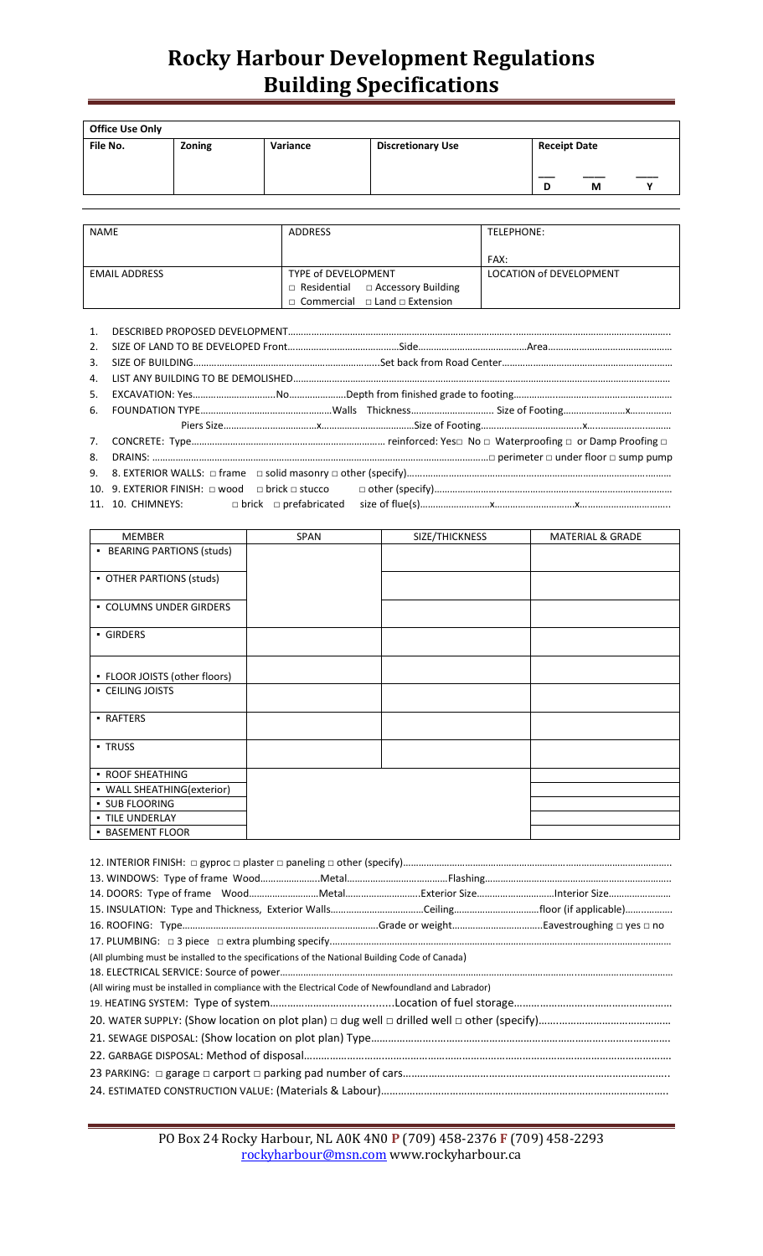# **Rocky Harbour Development Regulations Building Specifications**

| <b>Office Use Only</b> |        |          |                          |                               |
|------------------------|--------|----------|--------------------------|-------------------------------|
| File No.               | Zoning | Variance | <b>Discretionary Use</b> | <b>Receipt Date</b><br>М<br>D |

| <b>NAME</b>          | <b>ADDRESS</b>                                 | TELEPHONE:              |
|----------------------|------------------------------------------------|-------------------------|
|                      |                                                |                         |
|                      |                                                | FAX:                    |
| <b>EMAIL ADDRESS</b> | TYPE of DEVELOPMENT                            | LOCATION of DEVELOPMENT |
|                      | $\Box$ Residential $\Box$ Accessory Building   |                         |
|                      | $\Box$ Commercial $\Box$ Land $\Box$ Extension |                         |

| 2. |  |
|----|--|
| 3. |  |
|    |  |
|    |  |
|    |  |
|    |  |
|    |  |
| 8. |  |
|    |  |
|    |  |
|    |  |

| <b>MEMBER</b>                 | <b>SPAN</b> | SIZE/THICKNESS | <b>MATERIAL &amp; GRADE</b> |
|-------------------------------|-------------|----------------|-----------------------------|
| • BEARING PARTIONS (studs)    |             |                |                             |
|                               |             |                |                             |
| • OTHER PARTIONS (studs)      |             |                |                             |
|                               |             |                |                             |
| • COLUMNS UNDER GIRDERS       |             |                |                             |
|                               |             |                |                             |
| GIRDERS                       |             |                |                             |
|                               |             |                |                             |
|                               |             |                |                             |
| • FLOOR JOISTS (other floors) |             |                |                             |
| • CEILING JOISTS              |             |                |                             |
|                               |             |                |                             |
| • RAFTERS                     |             |                |                             |
|                               |             |                |                             |
| <b>TRUSS</b>                  |             |                |                             |
|                               |             |                |                             |
| • ROOF SHEATHING              |             |                |                             |
| • WALL SHEATHING(exterior)    |             |                |                             |
| · SUB FLOORING                |             |                |                             |
| · TILE UNDERLAY               |             |                |                             |
| <b>BASEMENT FLOOR</b>         |             |                |                             |

| (All plumbing must be installed to the specifications of the National Building Code of Canada)     |  |
|----------------------------------------------------------------------------------------------------|--|
|                                                                                                    |  |
| (All wiring must be installed in compliance with the Electrical Code of Newfoundland and Labrador) |  |
|                                                                                                    |  |
|                                                                                                    |  |
|                                                                                                    |  |
|                                                                                                    |  |
|                                                                                                    |  |
|                                                                                                    |  |
|                                                                                                    |  |